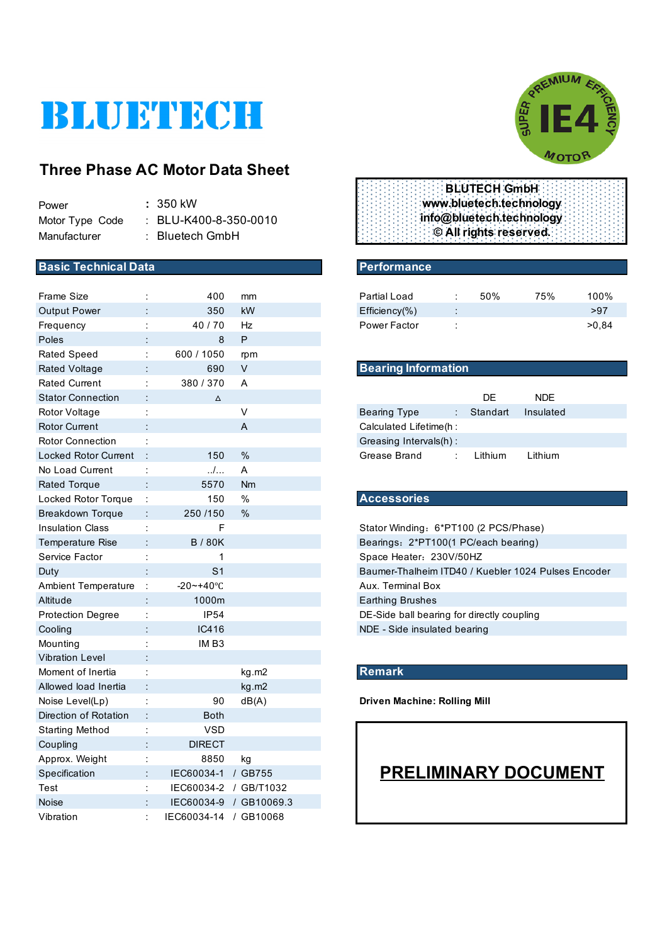# BLUETECH

## **Three Phase AC Motor Data Sheet**

| Power           | : 350 kW                         |
|-----------------|----------------------------------|
| Motor Type Code | $\therefore$ BLU-K400-8-350-0010 |
| Manufacturer    | $:$ Bluetech GmbH                |

#### **Basic Technical Data Performance**

| <b>Frame Size</b>           |                      | 400                   | mm                     | Partial Load                                        |  | 50%      | 75%                         | 100%  |  |
|-----------------------------|----------------------|-----------------------|------------------------|-----------------------------------------------------|--|----------|-----------------------------|-------|--|
| <b>Output Power</b>         |                      | 350                   | kW                     | Efficiency(%)                                       |  |          |                             | >97   |  |
| Frequency                   |                      | 40/70                 | Hz                     | Power Factor                                        |  |          |                             | >0,84 |  |
| Poles                       |                      | 8                     | P                      |                                                     |  |          |                             |       |  |
| <b>Rated Speed</b>          | ÷                    | 600 / 1050            | rpm                    |                                                     |  |          |                             |       |  |
| <b>Rated Voltage</b>        |                      | 690                   | V                      | <b>Bearing Information</b>                          |  |          |                             |       |  |
| <b>Rated Current</b>        | t                    | 380 / 370             | A                      |                                                     |  |          |                             |       |  |
| <b>Stator Connection</b>    |                      | $\Delta$              |                        |                                                     |  | DE       | <b>NDE</b>                  |       |  |
| Rotor Voltage               |                      |                       | V                      | <b>Bearing Type</b>                                 |  | Standart | Insulated                   |       |  |
| <b>Rotor Current</b>        |                      |                       | A                      | Calculated Lifetime(h :                             |  |          |                             |       |  |
| <b>Rotor Connection</b>     |                      |                       |                        | Greasing Intervals(h):                              |  |          |                             |       |  |
| <b>Locked Rotor Current</b> |                      | 150                   | $\%$                   | Grease Brand                                        |  | Lithium  | Lithium                     |       |  |
| No Load Current             | ÷                    | /                     | A                      |                                                     |  |          |                             |       |  |
| <b>Rated Torque</b>         |                      | 5570                  | Nm                     |                                                     |  |          |                             |       |  |
| Locked Rotor Torque         | ÷                    | 150                   | $\%$                   | <b>Accessories</b>                                  |  |          |                             |       |  |
| <b>Breakdown Torque</b>     |                      | 250 /150              | $\%$                   |                                                     |  |          |                             |       |  |
| <b>Insulation Class</b>     |                      | F                     |                        | Stator Winding: 6*PT100 (2 PCS/Phase)               |  |          |                             |       |  |
| Temperature Rise            |                      | <b>B/80K</b>          |                        | Bearings: 2*PT100(1 PC/each bearing)                |  |          |                             |       |  |
| Service Factor              |                      | 1                     |                        | Space Heater: 230V/50HZ                             |  |          |                             |       |  |
| Duty                        |                      | S <sub>1</sub>        |                        | Baumer-Thalheim ITD40 / Kuebler 1024 Pulses Encoder |  |          |                             |       |  |
| <b>Ambient Temperature</b>  | $\ddot{\phantom{a}}$ | $-20 - +40$ °C        |                        | Aux. Terminal Box                                   |  |          |                             |       |  |
| Altitude                    |                      | 1000m                 |                        | <b>Earthing Brushes</b>                             |  |          |                             |       |  |
| <b>Protection Degree</b>    |                      | <b>IP54</b>           |                        | DE-Side ball bearing for directly coupling          |  |          |                             |       |  |
| Cooling                     |                      | IC416                 |                        | NDE - Side insulated bearing                        |  |          |                             |       |  |
| Mounting                    |                      | IMB3                  |                        |                                                     |  |          |                             |       |  |
| <b>Vibration Level</b>      |                      |                       |                        |                                                     |  |          |                             |       |  |
| Moment of Inertia           |                      |                       | kg.m2                  | Remark                                              |  |          |                             |       |  |
| Allowed load Inertia        |                      |                       | kg.m2                  |                                                     |  |          |                             |       |  |
| Noise Level(Lp)             |                      | 90                    | dB(A)                  | <b>Driven Machine: Rolling Mill</b>                 |  |          |                             |       |  |
| Direction of Rotation       |                      | <b>Both</b>           |                        |                                                     |  |          |                             |       |  |
| <b>Starting Method</b>      |                      | <b>VSD</b>            |                        |                                                     |  |          |                             |       |  |
| Coupling                    |                      | <b>DIRECT</b>         |                        |                                                     |  |          |                             |       |  |
| Approx. Weight              | ÷                    | 8850                  | kg                     |                                                     |  |          |                             |       |  |
| Specification               | ÷                    | IEC60034-1 / GB755    |                        |                                                     |  |          | <b>PRELIMINARY DOCUMENT</b> |       |  |
| Test                        |                      | IEC60034-2 / GB/T1032 |                        |                                                     |  |          |                             |       |  |
| Noise                       |                      |                       | IEC60034-9 / GB10069.3 |                                                     |  |          |                             |       |  |
| Vibration                   |                      | IEC60034-14 / GB10068 |                        |                                                     |  |          |                             |       |  |



**BLUTECH GmbH www.bluetech.technology info@bluetech.technology © All rights reserved.**

| Partial Load        |           | 50% | 75% | 100%  |
|---------------------|-----------|-----|-----|-------|
| $Efficiency(\% )$   | $\bullet$ |     |     | >97   |
| <b>Power Factor</b> |           |     |     | >0.84 |

#### **Bearing Information**

|                         |  | DE.                | <b>NDF</b> |  |  |  |  |
|-------------------------|--|--------------------|------------|--|--|--|--|
| <b>Bearing Type</b>     |  | Standart Insulated |            |  |  |  |  |
| Calculated Lifetime(h : |  |                    |            |  |  |  |  |
| Greasing Intervals(h):  |  |                    |            |  |  |  |  |
| Grease Brand            |  | l ithium           | I ithium   |  |  |  |  |

#### Locked Rotor Torque : 150 % **Accessories**

#### **Remark**

# **PRELIMINARY DOCUMENT**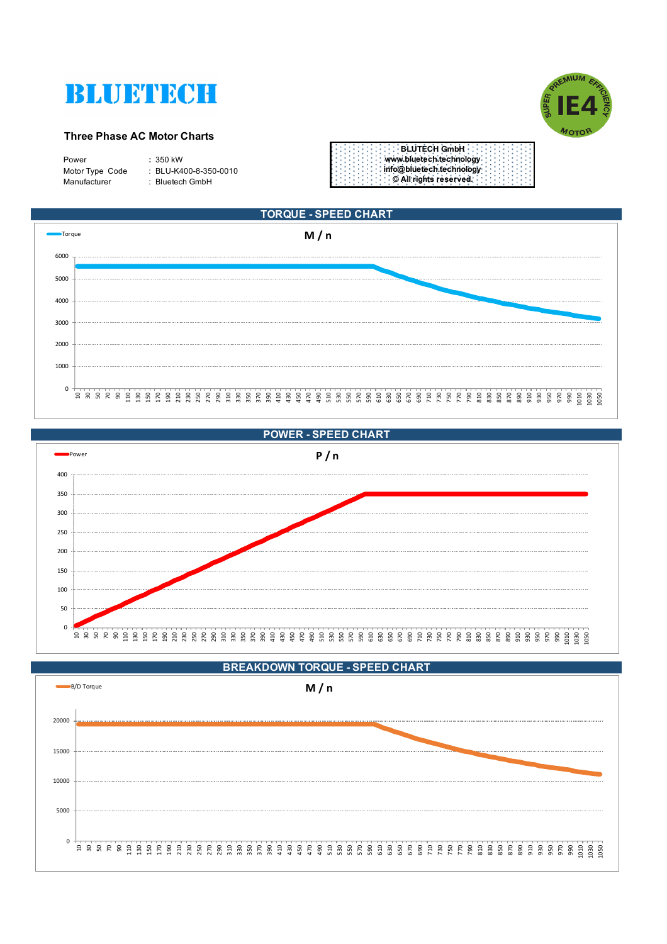



#### **Three Phase AC Motor Charts**

| $: 350$ kW<br>Power<br>: BLU-K400-8-350-0010<br>Motor Type Code<br>Manufacturer<br>: Bluetech GmbH |
|----------------------------------------------------------------------------------------------------|
|----------------------------------------------------------------------------------------------------|





**POWER - SPEED CHART**